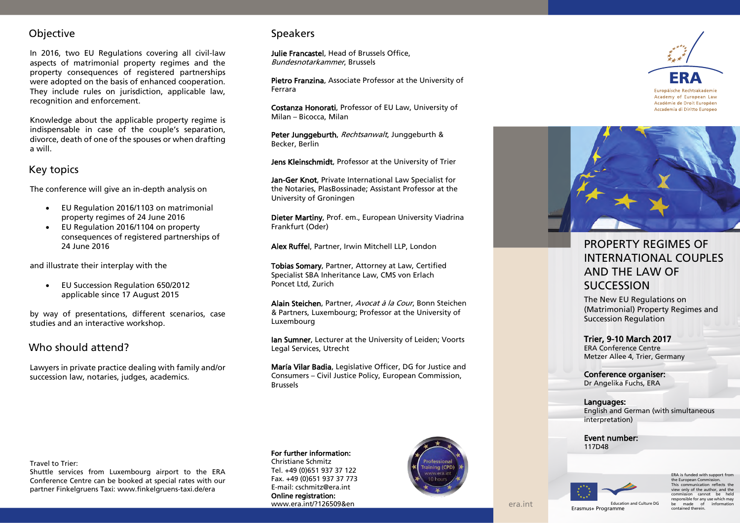## **Objective**

In 2016, two EU Regulations covering all civil -law aspects of matrimonial property regimes and the property consequence s of registered partnerships were adopted on the basis of enhanced cooperation. They include rules on jurisdiction, applicable law, recognition and enforcement.

Knowledge about the applicable property regime is indispensable in case of the couple's separation, divorce, death of one of the spouses or when drafting a will.

## Key topics

The conference will give an in -depth analysis on

- EU Regulation 2016/1103 on matrimonial property regimes of 24 June 2016
- EU Regulation 2016/1104 on property consequences of registered partnerships of 24 June 2016

and illustrate their interplay with the

 EU Succession Regulation 650/2012 applicable since 17 August 2015

by way of presentations, different scenarios, case studies and an interactive workshop.

## Who should attend?

Lawyers in private practice dealing with family and/or succession law, notaries, judges, academics.

## **Speakers**

Julie Francastel, Head of Brussels Office, Bundesnotarkammer, Brussels

Pietro Franzina, Associate Professor at the University of Ferrara

Costanza Honorati, Professor of EU Law, University of Milan – Bicocca, Milan

Peter Junggeburth, Rechtsanwalt, Junggeburth & Becker, Berlin

Jens Kleinschmidt, Professor at the University of Trier

**Jan-Ger Knot**, Private International Law Specialist for the Notaries, PlasBossinade; Assistant Professor at the University of Groningen

Dieter Martiny, Prof. em., European University Viadrina Frankfurt (Oder)

Alex Ruffel, Partner, Irwin Mitchell LLP, London

Tobias Somary, Partner, Attorney at Law, Certified Specialist SBA Inheritance Law, CMS von Erlach Poncet Ltd, Zurich

Alain Steichen, Partner, Avocat à la Cour, Bonn Steichen & Partners, Luxembourg; Professor at the University of Luxembourg

Ian Sumner, Lecturer at the University of Leiden; Voorts Legal Services, Utrecht

María Vilar Badia, Legislative Officer, DG for Justice and Consumers – Civil Justice Policy, European Commission, Brussels



# PROPERTY REGIMES OF INTERNATIONAL COUPLES AND THE LAW OF **SUCCESSION**

The New EU Regulations on (Matrimonial) Property Regimes and Succession Regulation

#### Trier, 9 -10 March 201 7 ERA Conference Centre Metzer Allee 4, Trier, Germany

Conference organiser: Dr Angelika Fuchs, ERA

Language s:

English and German (with simultaneous interpretation)

Event number: 117D48



era.int

ERA is funded with support from the European Commi This communication reflects the view only of the author, and the cannot be held responsible for any use which may be made of information Erasmus+ Programme contained therein

#### Travel to Trier:

Shuttle services from Luxembourg airport to the ERA Conference Centre can be booked at special rates with our partner Finkelgruens Taxi[: www.finkelgruens](http://www.finkelgruens-taxi.de/era) -taxi.de/era

### For further information:

Christiane Schmitz Tel. +49 (0)651 937 37 122 Fax. +49 (0)651 937 37 773 E-mail: cschmitz@era.int Online registration: [www.era.int/?126509&en](https://www.era.int/cgi-bin/cms?_SID=NEW&_sprache=en&_bereich=artikel&_aktion=detail&idartikel=126509)